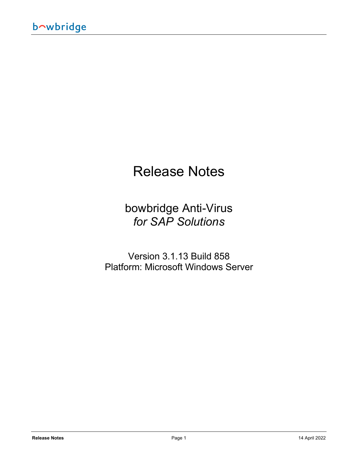# Release Notes

### bowbridge Anti-Virus *for SAP Solutions*

Version 3.1.13 Build 858 Platform: Microsoft Windows Server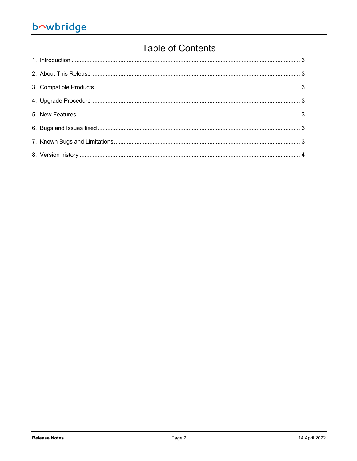## bowbridge

### **Table of Contents**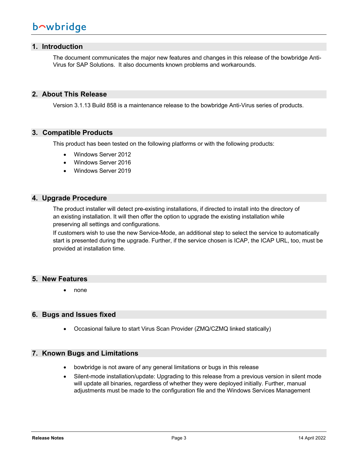#### **1. Introduction**

The document communicates the major new features and changes in this release of the bowbridge Anti-Virus for SAP Solutions. It also documents known problems and workarounds.

#### **2. About This Release**

Version 3.1.13 Build 858 is a maintenance release to the bowbridge Anti-Virus series of products.

#### **3. Compatible Products**

This product has been tested on the following platforms or with the following products:

- Windows Server 2012
- Windows Server 2016
- Windows Server 2019

#### **4. Upgrade Procedure**

The product installer will detect pre-existing installations, if directed to install into the directory of an existing installation. It will then offer the option to upgrade the existing installation while preserving all settings and configurations.

If customers wish to use the new Service-Mode, an additional step to select the service to automatically start is presented during the upgrade. Further, if the service chosen is ICAP, the ICAP URL, too, must be provided at installation time.

#### **5. New Features**

• none

#### **6. Bugs and Issues fixed**

• Occasional failure to start Virus Scan Provider (ZMQ/CZMQ linked statically)

#### **7. Known Bugs and Limitations**

- bowbridge is not aware of any general limitations or bugs in this release
- Silent-mode installation/update: Upgrading to this release from a previous version in silent mode will update all binaries, regardless of whether they were deployed initially. Further, manual adjustments must be made to the configuration file and the Windows Services Management